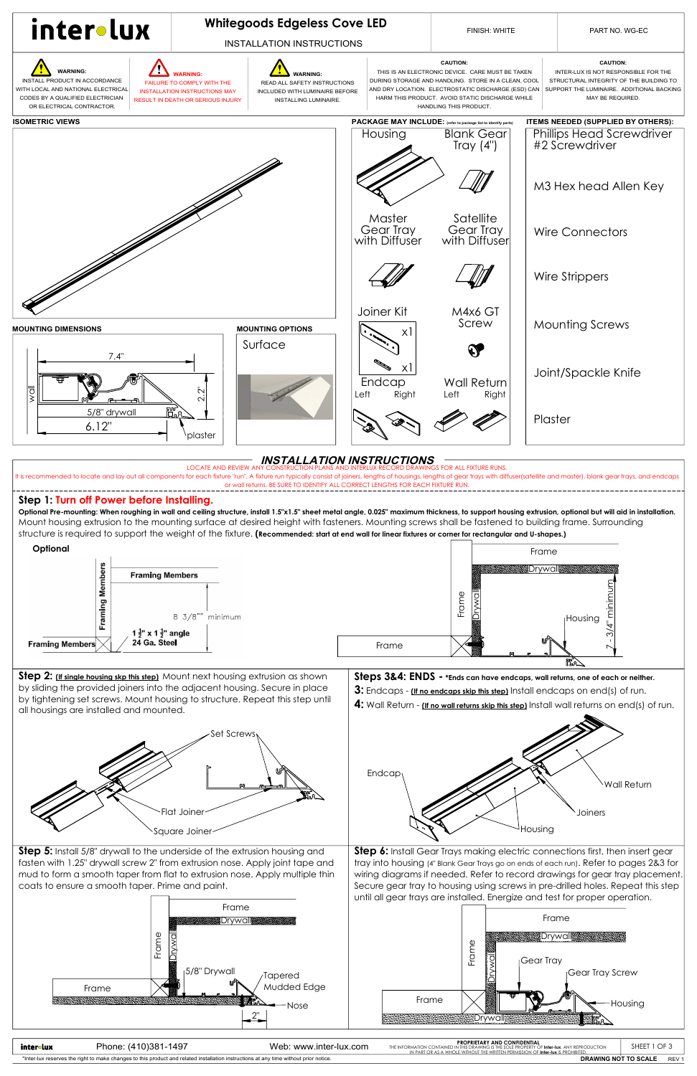**Step 2:** *(If single housing skp this step)* Mount next housing extrusion as shown by sliding the provided joiners into the adjacent housing. Secure in place by tightening set screws. Mount housing to structure. Repeat this step until all housings are installed and mounted.

## **Step 1: Turn off Power before Installing.**

- **3:** Endcaps **(If no endcaps skip this step)** Install endcaps on end(s) of run.
- **4:** Wall Return **(If no wall returns skip this step)** Install wall returns on end(s) of run.



**Optional Pre-mounting: When roughing in wall and ceiling structure, install 1.5"x1.5" sheet metal angle, 0.025" maximum thickness, to support housing extrusion, optional but will aid in installation.** Mount housing extrusion to the mounting surface at desired height with fasteners. Mounting screws shall be fastened to building frame. Surrounding structure is required to support the weight of the fixture. **(Recommended: start at end wall for linear fixtures or corner for rectangular and U-shapes.)**







**Steps 3&4: ENDS - \*Ends can have endcaps, wall returns, one of each or neither.** 

## LOCATE AND REVIEW ANY CONSTRUCTION PLANS AND INTERLUX RECORD DRAWINGS FOR ALL FIXTURE RUNS.  **INSTALLATION INSTRUCTIONS**

It is recommended to locate and lay out all components for each fixture "run". A fixture run typically consist of joiners, lengths of housings, lengths of gear trays with diffuser(satellite and master), blank gear trays, a or wall returns. BE SURE TO IDENTIFY ALL CORRECT LENGTHS FOR EACH FIXTURE RUN.

| inter∘lux                                                                                                                             | Phone: (410)381-1497 | Web: www.inter-lux.com | <b>PROPRIETARY AND CONFIDENTIAL</b><br>THE INFORMATION CONTAINED IN THIS DRAWING IS THE SOLE PROPERTY OF Inter-Iux, ANY REPRODUCTION<br>IN PART OR AS A WHOLF WITHOUT THE WRITTEN PERMISSION OF Inter-Jux IS PROHIBITED. | <b>SHEET</b> | V               |
|---------------------------------------------------------------------------------------------------------------------------------------|----------------------|------------------------|--------------------------------------------------------------------------------------------------------------------------------------------------------------------------------------------------------------------------|--------------|-----------------|
| *Inter-lux reserves the right to make changes to this product and related installation instructions at any time without prior notice. |                      |                        | <b>DRAWING NOT TO SCALE</b>                                                                                                                                                                                              |              | REV <sup></sup> |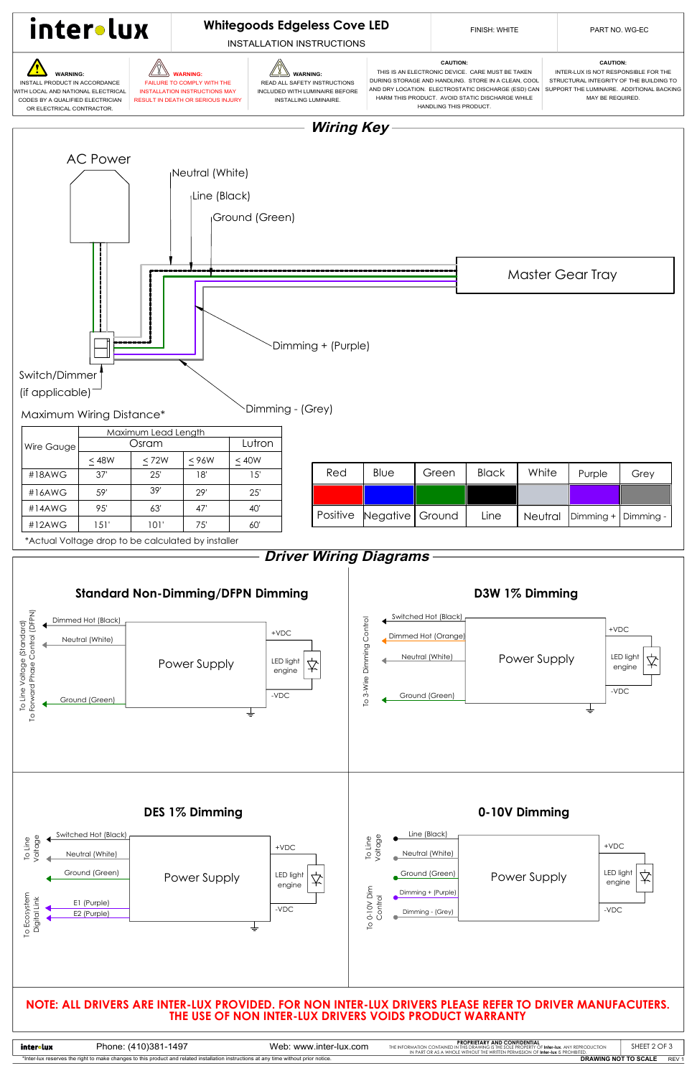## **DES 1% Dimming 0-10V Dimming**

**DRAWING NOT TO SCALE** REV 1

\*Inter-lux reserves the right to make changes to this product and related installation instructions at any time without prior notice.